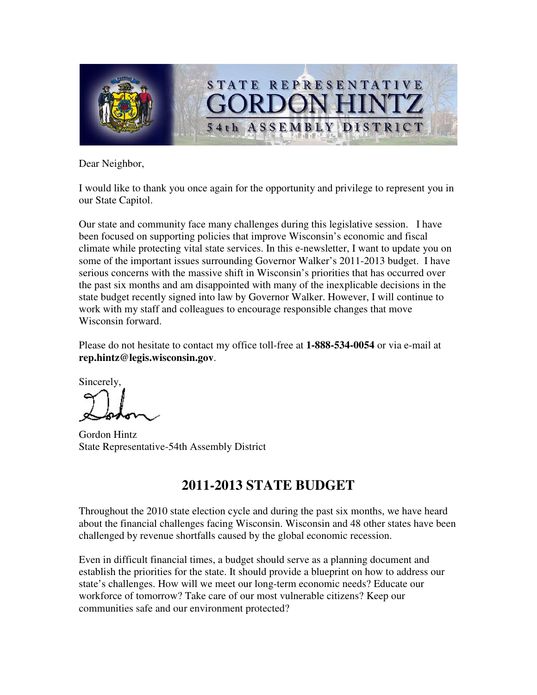

Dear Neighbor,

I would like to thank you once again for the opportunity and privilege to represent you in our State Capitol.

Our state and community face many challenges during this legislative session. I have been focused on supporting policies that improve Wisconsin's economic and fiscal climate while protecting vital state services. In this e-newsletter, I want to update you on some of the important issues surrounding Governor Walker's 2011-2013 budget. I have serious concerns with the massive shift in Wisconsin's priorities that has occurred over the past six months and am disappointed with many of the inexplicable decisions in the state budget recently signed into law by Governor Walker. However, I will continue to work with my staff and colleagues to encourage responsible changes that move Wisconsin forward.

Please do not hesitate to contact my office toll-free at **1-888-534-0054** or via e-mail at **rep.hintz@legis.wisconsin.gov**.

Sincerely,

Gordon Hintz State Representative-54th Assembly District

# **2011-2013 STATE BUDGET**

Throughout the 2010 state election cycle and during the past six months, we have heard about the financial challenges facing Wisconsin. Wisconsin and 48 other states have been challenged by revenue shortfalls caused by the global economic recession.

Even in difficult financial times, a budget should serve as a planning document and establish the priorities for the state. It should provide a blueprint on how to address our state's challenges. How will we meet our long-term economic needs? Educate our workforce of tomorrow? Take care of our most vulnerable citizens? Keep our communities safe and our environment protected?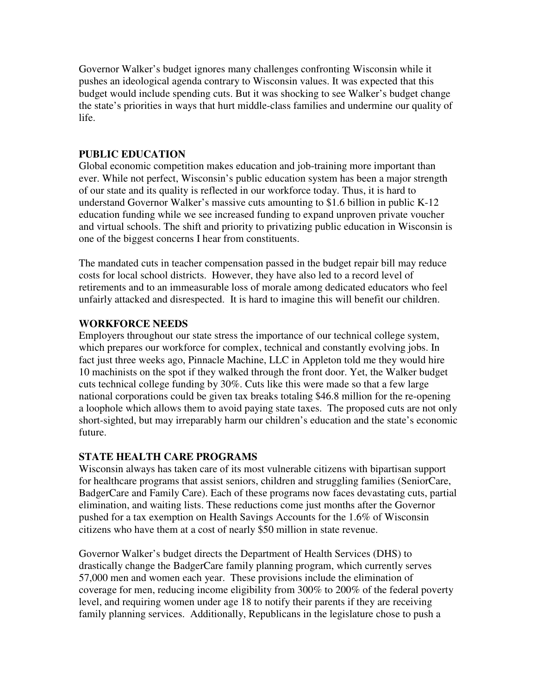Governor Walker's budget ignores many challenges confronting Wisconsin while it pushes an ideological agenda contrary to Wisconsin values. It was expected that this budget would include spending cuts. But it was shocking to see Walker's budget change the state's priorities in ways that hurt middle-class families and undermine our quality of life.

### **PUBLIC EDUCATION**

Global economic competition makes education and job-training more important than ever. While not perfect, Wisconsin's public education system has been a major strength of our state and its quality is reflected in our workforce today. Thus, it is hard to understand Governor Walker's massive cuts amounting to \$1.6 billion in public K-12 education funding while we see increased funding to expand unproven private voucher and virtual schools. The shift and priority to privatizing public education in Wisconsin is one of the biggest concerns I hear from constituents.

The mandated cuts in teacher compensation passed in the budget repair bill may reduce costs for local school districts. However, they have also led to a record level of retirements and to an immeasurable loss of morale among dedicated educators who feel unfairly attacked and disrespected. It is hard to imagine this will benefit our children.

#### **WORKFORCE NEEDS**

Employers throughout our state stress the importance of our technical college system, which prepares our workforce for complex, technical and constantly evolving jobs. In fact just three weeks ago, Pinnacle Machine, LLC in Appleton told me they would hire 10 machinists on the spot if they walked through the front door. Yet, the Walker budget cuts technical college funding by 30%. Cuts like this were made so that a few large national corporations could be given tax breaks totaling \$46.8 million for the re-opening a loophole which allows them to avoid paying state taxes. The proposed cuts are not only short-sighted, but may irreparably harm our children's education and the state's economic future.

#### **STATE HEALTH CARE PROGRAMS**

Wisconsin always has taken care of its most vulnerable citizens with bipartisan support for healthcare programs that assist seniors, children and struggling families (SeniorCare, BadgerCare and Family Care). Each of these programs now faces devastating cuts, partial elimination, and waiting lists. These reductions come just months after the Governor pushed for a tax exemption on Health Savings Accounts for the 1.6% of Wisconsin citizens who have them at a cost of nearly \$50 million in state revenue.

Governor Walker's budget directs the Department of Health Services (DHS) to drastically change the BadgerCare family planning program, which currently serves 57,000 men and women each year. These provisions include the elimination of coverage for men, reducing income eligibility from 300% to 200% of the federal poverty level, and requiring women under age 18 to notify their parents if they are receiving family planning services. Additionally, Republicans in the legislature chose to push a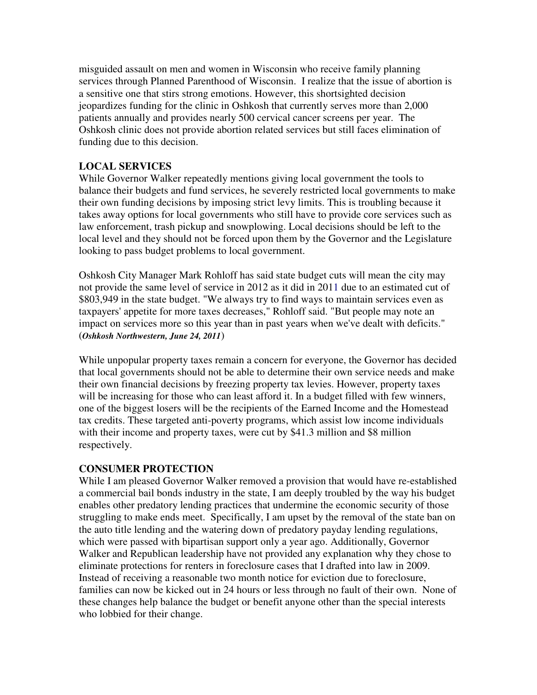misguided assault on men and women in Wisconsin who receive family planning services through Planned Parenthood of Wisconsin. I realize that the issue of abortion is a sensitive one that stirs strong emotions. However, this shortsighted decision jeopardizes funding for the clinic in Oshkosh that currently serves more than 2,000 patients annually and provides nearly 500 cervical cancer screens per year. The Oshkosh clinic does not provide abortion related services but still faces elimination of funding due to this decision.

# **LOCAL SERVICES**

While Governor Walker repeatedly mentions giving local government the tools to balance their budgets and fund services, he severely restricted local governments to make their own funding decisions by imposing strict levy limits. This is troubling because it takes away options for local governments who still have to provide core services such as law enforcement, trash pickup and snowplowing. Local decisions should be left to the local level and they should not be forced upon them by the Governor and the Legislature looking to pass budget problems to local government.

Oshkosh City Manager Mark Rohloff has said state budget cuts will mean the city may not provide the same level of service in 2012 as it did in 2011 due to an estimated cut of \$803,949 in the state budget. "We always try to find ways to maintain services even as taxpayers' appetite for more taxes decreases," Rohloff said. "But people may note an impact on services more so this year than in past years when we've dealt with deficits." (*Oshkosh Northwestern, June 24, 2011*)

While unpopular property taxes remain a concern for everyone, the Governor has decided that local governments should not be able to determine their own service needs and make their own financial decisions by freezing property tax levies. However, property taxes will be increasing for those who can least afford it. In a budget filled with few winners, one of the biggest losers will be the recipients of the Earned Income and the Homestead tax credits. These targeted anti-poverty programs, which assist low income individuals with their income and property taxes, were cut by \$41.3 million and \$8 million respectively.

# **CONSUMER PROTECTION**

While I am pleased Governor Walker removed a provision that would have re-established a commercial bail bonds industry in the state, I am deeply troubled by the way his budget enables other predatory lending practices that undermine the economic security of those struggling to make ends meet. Specifically, I am upset by the removal of the state ban on the auto title lending and the watering down of predatory payday lending regulations, which were passed with bipartisan support only a year ago. Additionally, Governor Walker and Republican leadership have not provided any explanation why they chose to eliminate protections for renters in foreclosure cases that I drafted into law in 2009. Instead of receiving a reasonable two month notice for eviction due to foreclosure, families can now be kicked out in 24 hours or less through no fault of their own. None of these changes help balance the budget or benefit anyone other than the special interests who lobbied for their change.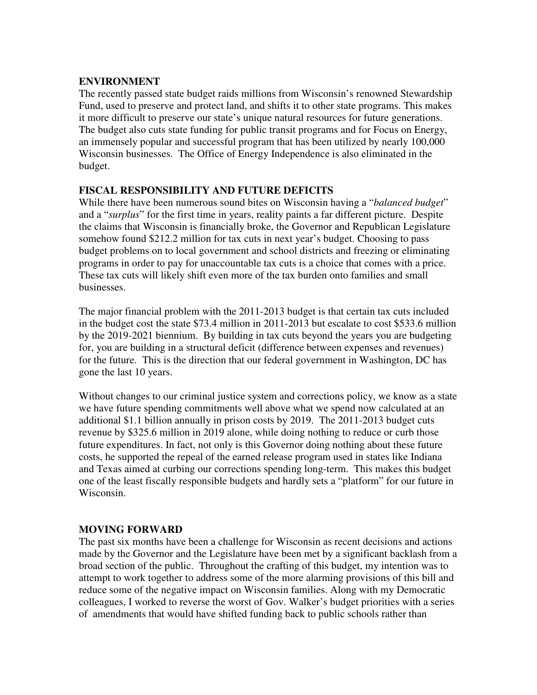#### **ENVIRONMENT**

The recently passed state budget raids millions from Wisconsin's renowned Stewardship Fund, used to preserve and protect land, and shifts it to other state programs. This makes it more difficult to preserve our state's unique natural resources for future generations. The budget also cuts state funding for public transit programs and for Focus on Energy, an immensely popular and successful program that has been utilized by nearly 100,000 Wisconsin businesses. The Office of Energy Independence is also eliminated in the budget.

#### **FISCAL RESPONSIBILITY AND FUTURE DEFICITS**

While there have been numerous sound bites on Wisconsin having a "*balanced budget*" and a "*surplus*" for the first time in years, reality paints a far different picture. Despite the claims that Wisconsin is financially broke, the Governor and Republican Legislature somehow found \$212.2 million for tax cuts in next year's budget. Choosing to pass budget problems on to local government and school districts and freezing or eliminating programs in order to pay for unaccountable tax cuts is a choice that comes with a price. These tax cuts will likely shift even more of the tax burden onto families and small businesses.

The major financial problem with the 2011-2013 budget is that certain tax cuts included in the budget cost the state \$73.4 million in 2011-2013 but escalate to cost \$533.6 million by the 2019-2021 biennium. By building in tax cuts beyond the years you are budgeting for, you are building in a structural deficit (difference between expenses and revenues) for the future. This is the direction that our federal government in Washington, DC has gone the last 10 years.

Without changes to our criminal justice system and corrections policy, we know as a state we have future spending commitments well above what we spend now calculated at an additional \$1.1 billion annually in prison costs by 2019. The 2011-2013 budget cuts revenue by \$325.6 million in 2019 alone, while doing nothing to reduce or curb those future expenditures. In fact, not only is this Governor doing nothing about these future costs, he supported the repeal of the earned release program used in states like Indiana and Texas aimed at curbing our corrections spending long-term. This makes this budget one of the least fiscally responsible budgets and hardly sets a "platform" for our future in Wisconsin.

#### **MOVING FORWARD**

The past six months have been a challenge for Wisconsin as recent decisions and actions made by the Governor and the Legislature have been met by a significant backlash from a broad section of the public. Throughout the crafting of this budget, my intention was to attempt to work together to address some of the more alarming provisions of this bill and reduce some of the negative impact on Wisconsin families. Along with my Democratic colleagues, I worked to reverse the worst of Gov. Walker's budget priorities with a series of amendments that would have shifted funding back to public schools rather than